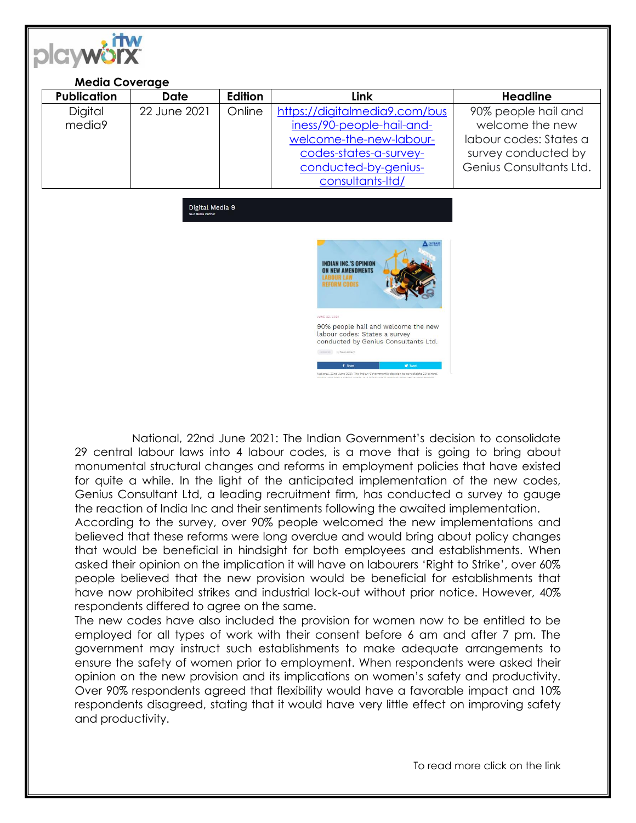

National, 22nd June 2021: The Indian Government's decision to consolidate 29 central labour laws into 4 labour codes, is a move that is going to bring about monumental structural changes and reforms in employment policies that have existed for quite a while. In the light of the anticipated implementation of the new codes, Genius Consultant Ltd, a leading recruitment firm, has conducted a survey to gauge the reaction of India Inc and their sentiments following the awaited implementation.

According to the survey, over 90% people welcomed the new implementations and believed that these reforms were long overdue and would bring about policy changes that would be beneficial in hindsight for both employees and establishments. When asked their opinion on the implication it will have on labourers 'Right to Strike', over 60% people believed that the new provision would be beneficial for establishments that have now prohibited strikes and industrial lock-out without prior notice. However, 40% respondents differed to agree on the same.

The new codes have also included the provision for women now to be entitled to be employed for all types of work with their consent before 6 am and after 7 pm. The government may instruct such establishments to make adequate arrangements to ensure the safety of women prior to employment. When respondents were asked their opinion on the new provision and its implications on women's safety and productivity. Over 90% respondents agreed that flexibility would have a favorable impact and 10% respondents disagreed, stating that it would have very little effect on improving safety and productivity.

To read more click on the link